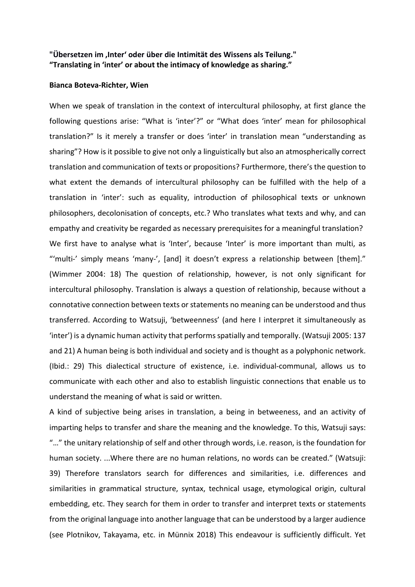## **"Übersetzen im 'Inter' oder über die Intimität des Wissens als Teilung." "Translating in 'inter' or about the intimacy of knowledge as sharing."**

## **Bianca Boteva-Richter, Wien**

When we speak of translation in the context of intercultural philosophy, at first glance the following questions arise: "What is 'inter'?" or "What does 'inter' mean for philosophical translation?" Is it merely a transfer or does 'inter' in translation mean "understanding as sharing"? How is it possible to give not only a linguistically but also an atmospherically correct translation and communication of texts or propositions? Furthermore, there's the question to what extent the demands of intercultural philosophy can be fulfilled with the help of a translation in 'inter': such as equality, introduction of philosophical texts or unknown philosophers, decolonisation of concepts, etc.? Who translates what texts and why, and can empathy and creativity be regarded as necessary prerequisites for a meaningful translation? We first have to analyse what is 'Inter', because 'Inter' is more important than multi, as "'multi-' simply means 'many-', [and] it doesn't express a relationship between [them]." (Wimmer 2004: 18) The question of relationship, however, is not only significant for intercultural philosophy. Translation is always a question of relationship, because without a connotative connection between texts or statements no meaning can be understood and thus transferred. According to Watsuji, 'betweenness' (and here I interpret it simultaneously as 'inter') is a dynamic human activity that performs spatially and temporally. (Watsuji 2005: 137 and 21) A human being is both individual and society and is thought as a polyphonic network. (Ibid.: 29) This dialectical structure of existence, i.e. individual-communal, allows us to communicate with each other and also to establish linguistic connections that enable us to understand the meaning of what is said or written.

A kind of subjective being arises in translation, a being in betweeness, and an activity of imparting helps to transfer and share the meaning and the knowledge. To this, Watsuji says: "…" the unitary relationship of self and other through words, i.e. reason, is the foundation for human society. ...Where there are no human relations, no words can be created." (Watsuji: 39) Therefore translators search for differences and similarities, i.e. differences and similarities in grammatical structure, syntax, technical usage, etymological origin, cultural embedding, etc. They search for them in order to transfer and interpret texts or statements from the original language into another language that can be understood by a larger audience (see Plotnikov, Takayama, etc. in Münnix 2018) This endeavour is sufficiently difficult. Yet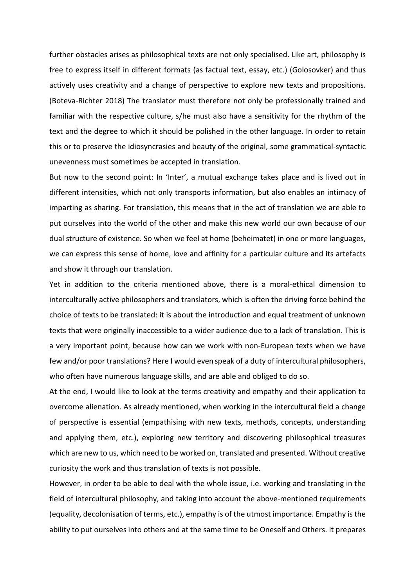further obstacles arises as philosophical texts are not only specialised. Like art, philosophy is free to express itself in different formats (as factual text, essay, etc.) (Golosovker) and thus actively uses creativity and a change of perspective to explore new texts and propositions. (Boteva-Richter 2018) The translator must therefore not only be professionally trained and familiar with the respective culture, s/he must also have a sensitivity for the rhythm of the text and the degree to which it should be polished in the other language. In order to retain this or to preserve the idiosyncrasies and beauty of the original, some grammatical-syntactic unevenness must sometimes be accepted in translation.

But now to the second point: In 'Inter', a mutual exchange takes place and is lived out in different intensities, which not only transports information, but also enables an intimacy of imparting as sharing. For translation, this means that in the act of translation we are able to put ourselves into the world of the other and make this new world our own because of our dual structure of existence. So when we feel at home (beheimatet) in one or more languages, we can express this sense of home, love and affinity for a particular culture and its artefacts and show it through our translation.

Yet in addition to the criteria mentioned above, there is a moral-ethical dimension to interculturally active philosophers and translators, which is often the driving force behind the choice of texts to be translated: it is about the introduction and equal treatment of unknown texts that were originally inaccessible to a wider audience due to a lack of translation. This is a very important point, because how can we work with non-European texts when we have few and/or poor translations? Here I would even speak of a duty of intercultural philosophers, who often have numerous language skills, and are able and obliged to do so.

At the end, I would like to look at the terms creativity and empathy and their application to overcome alienation. As already mentioned, when working in the intercultural field a change of perspective is essential (empathising with new texts, methods, concepts, understanding and applying them, etc.), exploring new territory and discovering philosophical treasures which are new to us, which need to be worked on, translated and presented. Without creative curiosity the work and thus translation of texts is not possible.

However, in order to be able to deal with the whole issue, i.e. working and translating in the field of intercultural philosophy, and taking into account the above-mentioned requirements (equality, decolonisation of terms, etc.), empathy is of the utmost importance. Empathy is the ability to put ourselves into others and at the same time to be Oneself and Others. It prepares